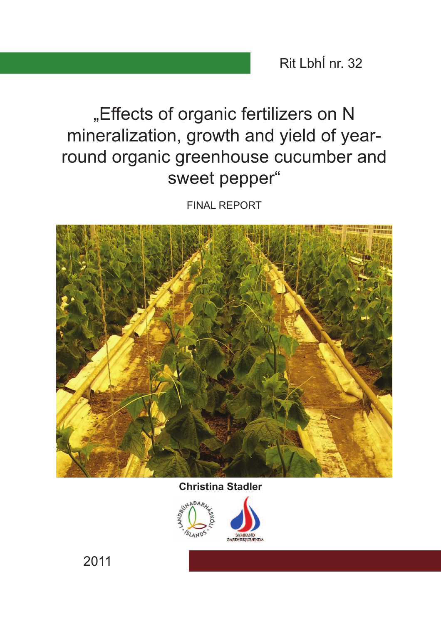Rit LbhÍ nr. 32

# "Effects of organic fertilizers on N mineralization, growth and yield of yearround organic greenhouse cucumber and sweet pepper"

**FINAL REPORT** 



## **Christina Stadler**



2011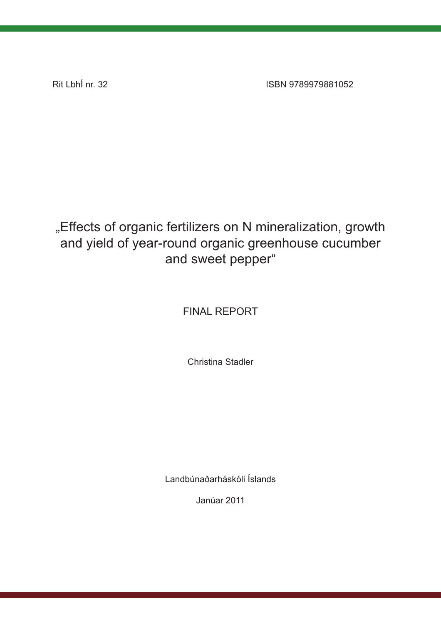Rit LbhÍ nr. 32

ISBN 9789979881052

## "Effects of organic fertilizers on N mineralization, growth and yield of year-round organic greenhouse cucumber and sweet pepper"

## **FINAL REPORT**

Christina Stadler

Landbúnaðarháskóli Íslands

Janúar 2011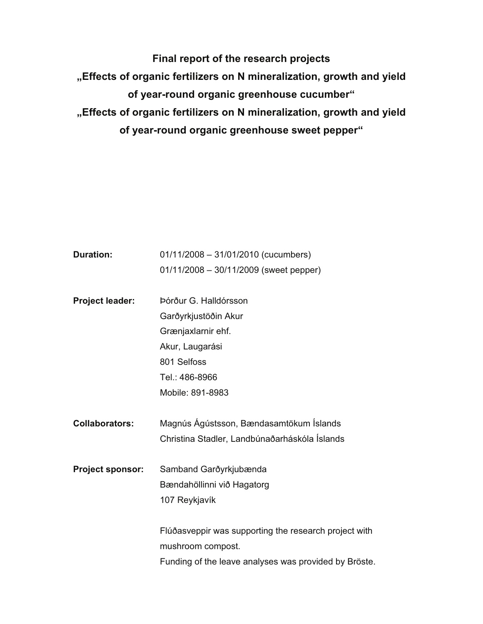**Final report of the research projects "Effects of organic fertilizers on N mineralization, growth and yield of year-round organic greenhouse cucumber" "Effects of organic fertilizers on N mineralization, growth and yield of year-round organic greenhouse sweet pepper"** 

| <b>Duration:</b>        | 01/11/2008 - 31/01/2010 (cucumbers)                   |  |  |  |  |  |
|-------------------------|-------------------------------------------------------|--|--|--|--|--|
|                         | 01/11/2008 - 30/11/2009 (sweet pepper)                |  |  |  |  |  |
|                         |                                                       |  |  |  |  |  |
| Project leader:         | Þórður G. Halldórsson                                 |  |  |  |  |  |
|                         | Garðyrkjustöðin Akur                                  |  |  |  |  |  |
|                         | Grænjaxlarnir ehf.                                    |  |  |  |  |  |
|                         | Akur, Laugarási                                       |  |  |  |  |  |
|                         | 801 Selfoss                                           |  |  |  |  |  |
|                         | Tel.: 486-8966                                        |  |  |  |  |  |
|                         | Mobile: 891-8983                                      |  |  |  |  |  |
|                         |                                                       |  |  |  |  |  |
|                         | Magnús Ágústsson, Bændasamtökum Íslands               |  |  |  |  |  |
| <b>Collaborators:</b>   |                                                       |  |  |  |  |  |
|                         | Christina Stadler, Landbúnaðarháskóla Íslands         |  |  |  |  |  |
| <b>Project sponsor:</b> | Samband Garðyrkjubænda                                |  |  |  |  |  |
|                         | Bændahöllinni við Hagatorg                            |  |  |  |  |  |
|                         | 107 Reykjavík                                         |  |  |  |  |  |
|                         |                                                       |  |  |  |  |  |
|                         | Flúðasveppir was supporting the research project with |  |  |  |  |  |
|                         | mushroom compost.                                     |  |  |  |  |  |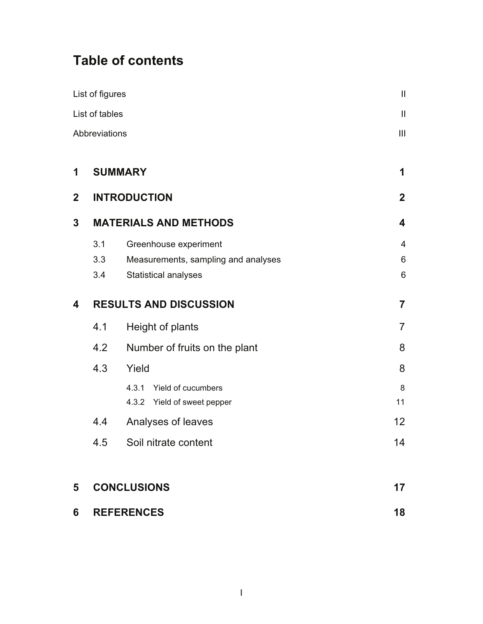## **Table of contents**

|             | List of figures               |                                                                                             | $\mathbf{  }$            |
|-------------|-------------------------------|---------------------------------------------------------------------------------------------|--------------------------|
|             | List of tables                |                                                                                             | $\mathbf{I}$             |
|             | Abbreviations                 |                                                                                             | Ш                        |
| 1           |                               | <b>SUMMARY</b>                                                                              | 1                        |
| $\mathbf 2$ |                               | <b>INTRODUCTION</b>                                                                         | $\overline{2}$           |
| 3           |                               | <b>MATERIALS AND METHODS</b>                                                                | $\overline{\mathbf{4}}$  |
|             | 3.1<br>3.3<br>3.4             | Greenhouse experiment<br>Measurements, sampling and analyses<br><b>Statistical analyses</b> | $\overline{4}$<br>6<br>6 |
| 4           | <b>RESULTS AND DISCUSSION</b> | $\overline{7}$                                                                              |                          |
|             | 4.1                           | Height of plants                                                                            | $\overline{7}$           |
|             | 4.2                           | Number of fruits on the plant                                                               | 8                        |
|             | 4.3                           | Yield                                                                                       | 8                        |
|             |                               | 4.3.1<br>Yield of cucumbers<br>4.3.2 Yield of sweet pepper                                  | 8<br>11                  |
|             | 4.4                           | Analyses of leaves                                                                          | 12 <sup>2</sup>          |
|             | 4.5                           | Soil nitrate content                                                                        | 14                       |
| 5           |                               | <b>CONCLUSIONS</b>                                                                          | 17                       |
| 6           |                               | <b>REFERENCES</b>                                                                           | 18                       |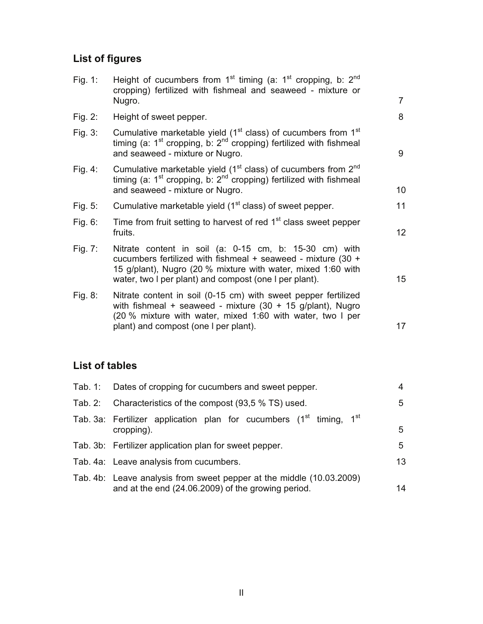## **List of figures**

| Height of cucumbers from 1 <sup>st</sup> timing (a: 1 <sup>st</sup> cropping, b: 2 <sup>nd</sup><br>cropping) fertilized with fishmeal and seaweed - mixture or<br>Nugro.                                                                        | 7                |
|--------------------------------------------------------------------------------------------------------------------------------------------------------------------------------------------------------------------------------------------------|------------------|
| Height of sweet pepper.                                                                                                                                                                                                                          | 8                |
| Cumulative marketable yield (1 <sup>st</sup> class) of cucumbers from 1 <sup>st</sup><br>timing (a: $1^{st}$ cropping, b: $2^{nd}$ cropping) fertilized with fishmeal<br>and seaweed - mixture or Nugro.                                         | 9                |
| Cumulative marketable yield (1 <sup>st</sup> class) of cucumbers from 2 <sup>nd</sup><br>timing (a: $1^{st}$ cropping, b: $2^{nd}$ cropping) fertilized with fishmeal<br>and seaweed - mixture or Nugro.                                         | 10               |
| Cumulative marketable yield (1 <sup>st</sup> class) of sweet pepper.                                                                                                                                                                             | 11               |
| Time from fruit setting to harvest of red 1 <sup>st</sup> class sweet pepper<br>fruits.                                                                                                                                                          | 12 <sup>2</sup>  |
| Nitrate content in soil (a: 0-15 cm, b: 15-30 cm) with<br>cucumbers fertilized with fishmeal + seaweed - mixture (30 +<br>15 g/plant), Nugro (20 % mixture with water, mixed 1:60 with<br>water, two I per plant) and compost (one I per plant). | 15 <sup>15</sup> |
| Nitrate content in soil (0-15 cm) with sweet pepper fertilized<br>with fishmeal + seaweed - mixture $(30 + 15$ g/plant), Nugro<br>(20 % mixture with water, mixed 1:60 with water, two I per<br>plant) and compost (one I per plant).            | 17               |
|                                                                                                                                                                                                                                                  |                  |

### **List of tables**

|         | Tab. 1: Dates of cropping for cucumbers and sweet pepper.                                                                        |   |  |  |  |  |  |
|---------|----------------------------------------------------------------------------------------------------------------------------------|---|--|--|--|--|--|
| Tab. 2: | Characteristics of the compost (93,5 % TS) used.                                                                                 |   |  |  |  |  |  |
|         | Tab. 3a: Fertilizer application plan for cucumbers (1 <sup>st</sup> timing, 1 <sup>st</sup><br>cropping).                        |   |  |  |  |  |  |
|         | Tab. 3b: Fertilizer application plan for sweet pepper.                                                                           | 5 |  |  |  |  |  |
|         | Tab. 4a: Leave analysis from cucumbers.                                                                                          |   |  |  |  |  |  |
|         | Tab. 4b: Leave analysis from sweet pepper at the middle (10.03.2009)<br>and at the end (24.06.2009) of the growing period.<br>14 |   |  |  |  |  |  |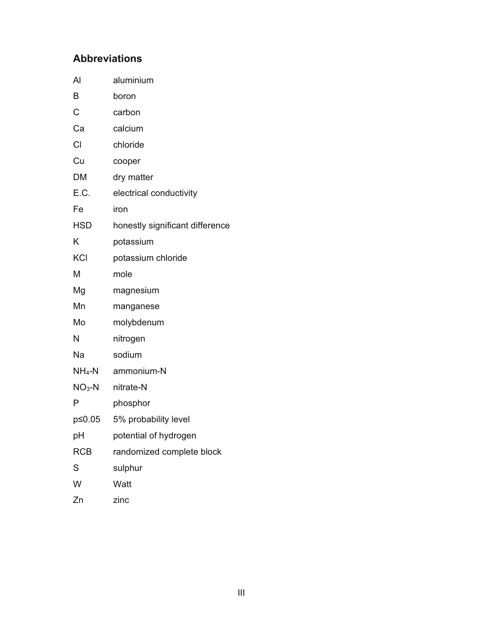### **Abbreviations**

| Al         | aluminium                       |
|------------|---------------------------------|
| B          | boron                           |
| C          | carbon                          |
| Ca         | calcium                         |
| CI         | chloride                        |
| Cu         | cooper                          |
| DM         | dry matter                      |
| E.C.       | electrical conductivity         |
| Fe         | iron                            |
| <b>HSD</b> | honestly significant difference |
| K          | potassium                       |
| <b>KCI</b> | potassium chloride              |
| M          | mole                            |
| Mg         | magnesium                       |
| Mn         | manganese                       |
| Mo         | molybdenum                      |
| N          | nitrogen                        |
| Na         | sodium                          |
| $NH_4-N$   | ammonium-N                      |
| $NO3-N$    | nitrate-N                       |
| P          | phosphor                        |
| p≤0.05     | 5% probability level            |
| рH         | potential of hydrogen           |
| <b>RCB</b> | randomized complete block       |
| S          | sulphur                         |
| W          | Watt                            |
| Zn         | zinc                            |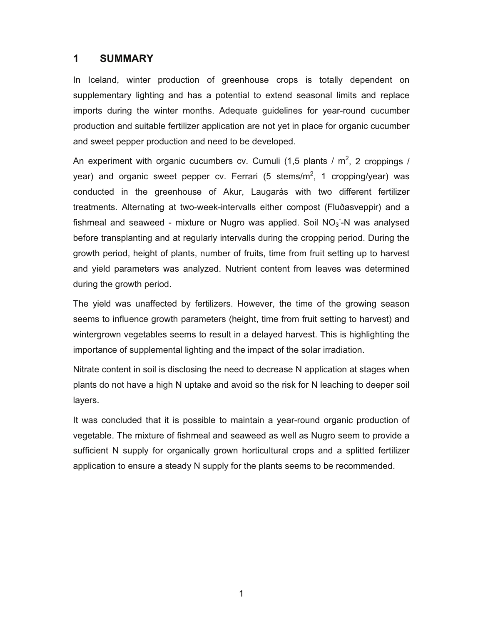#### **1 SUMMARY**

In Iceland, winter production of greenhouse crops is totally dependent on supplementary lighting and has a potential to extend seasonal limits and replace imports during the winter months. Adequate guidelines for year-round cucumber production and suitable fertilizer application are not yet in place for organic cucumber and sweet pepper production and need to be developed.

An experiment with organic cucumbers cv. Cumuli (1,5 plants /  $m^2$ , 2 croppings / year) and organic sweet pepper cv. Ferrari (5 stems/m<sup>2</sup>, 1 cropping/year) was conducted in the greenhouse of Akur, Laugarás with two different fertilizer treatments. Alternating at two-week-intervalls either compost (Fluðasveppir) and a fishmeal and seaweed - mixture or Nugro was applied. Soil  $NO<sub>3</sub>$ -N was analysed before transplanting and at regularly intervalls during the cropping period. During the growth period, height of plants, number of fruits, time from fruit setting up to harvest and yield parameters was analyzed. Nutrient content from leaves was determined during the growth period.

The yield was unaffected by fertilizers. However, the time of the growing season seems to influence growth parameters (height, time from fruit setting to harvest) and wintergrown vegetables seems to result in a delayed harvest. This is highlighting the importance of supplemental lighting and the impact of the solar irradiation.

Nitrate content in soil is disclosing the need to decrease N application at stages when plants do not have a high N uptake and avoid so the risk for N leaching to deeper soil layers.

It was concluded that it is possible to maintain a year-round organic production of vegetable. The mixture of fishmeal and seaweed as well as Nugro seem to provide a sufficient N supply for organically grown horticultural crops and a splitted fertilizer application to ensure a steady N supply for the plants seems to be recommended.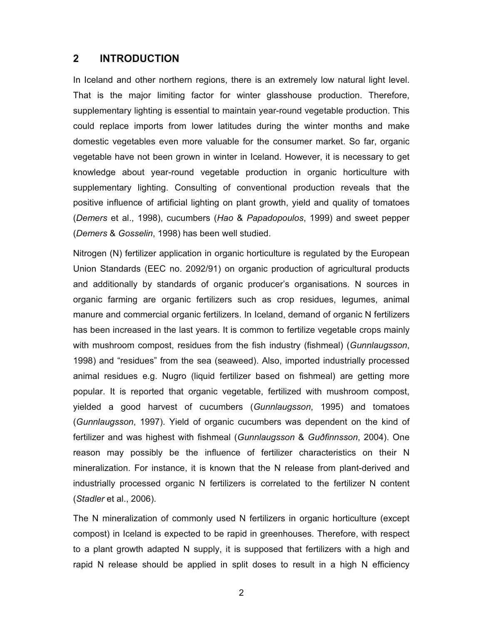#### **2 INTRODUCTION**

In Iceland and other northern regions, there is an extremely low natural light level. That is the major limiting factor for winter glasshouse production. Therefore, supplementary lighting is essential to maintain year-round vegetable production. This could replace imports from lower latitudes during the winter months and make domestic vegetables even more valuable for the consumer market. So far, organic vegetable have not been grown in winter in Iceland. However, it is necessary to get knowledge about year-round vegetable production in organic horticulture with supplementary lighting. Consulting of conventional production reveals that the positive influence of artificial lighting on plant growth, yield and quality of tomatoes (*Demers* et al., 1998), cucumbers (*Hao* & *Papadopoulos*, 1999) and sweet pepper (*Demers* & *Gosselin*, 1998) has been well studied.

Nitrogen (N) fertilizer application in organic horticulture is regulated by the European Union Standards (EEC no. 2092/91) on organic production of agricultural products and additionally by standards of organic producer's organisations. N sources in organic farming are organic fertilizers such as crop residues, legumes, animal manure and commercial organic fertilizers. In Iceland, demand of organic N fertilizers has been increased in the last years. It is common to fertilize vegetable crops mainly with mushroom compost, residues from the fish industry (fishmeal) (*Gunnlaugsson*, 1998) and "residues" from the sea (seaweed). Also, imported industrially processed animal residues e.g. Nugro (liquid fertilizer based on fishmeal) are getting more popular. It is reported that organic vegetable, fertilized with mushroom compost, yielded a good harvest of cucumbers (*Gunnlaugsson*, 1995) and tomatoes (*Gunnlaugsson*, 1997). Yield of organic cucumbers was dependent on the kind of fertilizer and was highest with fishmeal (*Gunnlaugsson* & *Guðfinnsson*, 2004). One reason may possibly be the influence of fertilizer characteristics on their N mineralization. For instance, it is known that the N release from plant-derived and industrially processed organic N fertilizers is correlated to the fertilizer N content (*Stadler* et al., 2006).

The N mineralization of commonly used N fertilizers in organic horticulture (except compost) in Iceland is expected to be rapid in greenhouses. Therefore, with respect to a plant growth adapted N supply, it is supposed that fertilizers with a high and rapid N release should be applied in split doses to result in a high N efficiency

2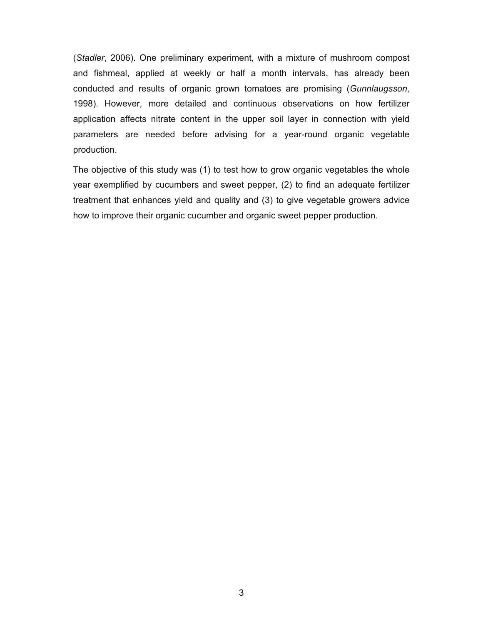(*Stadler*, 2006). One preliminary experiment, with a mixture of mushroom compost and fishmeal, applied at weekly or half a month intervals, has already been conducted and results of organic grown tomatoes are promising (*Gunnlaugsson*, 1998). However, more detailed and continuous observations on how fertilizer application affects nitrate content in the upper soil layer in connection with yield parameters are needed before advising for a year-round organic vegetable production.

The objective of this study was (1) to test how to grow organic vegetables the whole year exemplified by cucumbers and sweet pepper, (2) to find an adequate fertilizer treatment that enhances yield and quality and (3) to give vegetable growers advice how to improve their organic cucumber and organic sweet pepper production.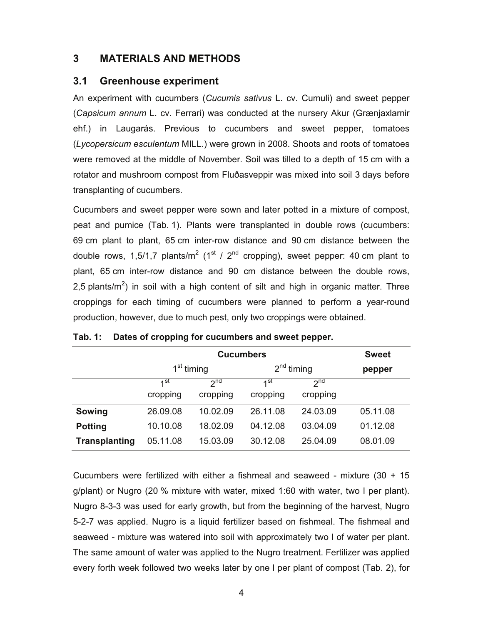#### **3 MATERIALS AND METHODS**

#### **3.1 Greenhouse experiment**

An experiment with cucumbers (*Cucumis sativus* L. cv. Cumuli) and sweet pepper (*Capsicum annum* L. cv. Ferrari) was conducted at the nursery Akur (Grænjaxlarnir ehf.) in Laugarás. Previous to cucumbers and sweet pepper, tomatoes (*Lycopersicum esculentum* MILL.) were grown in 2008. Shoots and roots of tomatoes were removed at the middle of November. Soil was tilled to a depth of 15 cm with a rotator and mushroom compost from Fluðasveppir was mixed into soil 3 days before transplanting of cucumbers.

Cucumbers and sweet pepper were sown and later potted in a mixture of compost, peat and pumice (Tab. 1). Plants were transplanted in double rows (cucumbers: 69 cm plant to plant, 65 cm inter-row distance and 90 cm distance between the double rows, 1,5/1,7 plants/m<sup>2</sup> (1<sup>st</sup> / 2<sup>nd</sup> cropping), sweet pepper: 40 cm plant to plant, 65 cm inter-row distance and 90 cm distance between the double rows, 2,5 plants/m<sup>2</sup>) in soil with a high content of silt and high in organic matter. Three croppings for each timing of cucumbers were planned to perform a year-round production, however, due to much pest, only two croppings were obtained.

|                      |                        | <b>Sweet</b>                |                             |                             |          |
|----------------------|------------------------|-----------------------------|-----------------------------|-----------------------------|----------|
|                      | 1 <sup>st</sup> timing |                             | $2nd$ timing                |                             | pepper   |
|                      | 1st<br>cropping        | 2 <sub>nd</sub><br>cropping | 1 <sup>st</sup><br>cropping | 2 <sub>nd</sub><br>cropping |          |
| Sowing               | 26.09.08               | 10.02.09                    | 26.11.08                    | 24.03.09                    | 05.11.08 |
| <b>Potting</b>       | 10.10.08               | 18.02.09                    | 04.12.08                    | 03.04.09                    | 01.12.08 |
| <b>Transplanting</b> | 05.11.08               | 15.03.09                    | 30.12.08                    | 25.04.09                    | 08.01.09 |

#### **Tab. 1: Dates of cropping for cucumbers and sweet pepper.**

Cucumbers were fertilized with either a fishmeal and seaweed - mixture (30 + 15 g/plant) or Nugro (20 % mixture with water, mixed 1:60 with water, two l per plant). Nugro 8-3-3 was used for early growth, but from the beginning of the harvest, Nugro 5-2-7 was applied. Nugro is a liquid fertilizer based on fishmeal. The fishmeal and seaweed - mixture was watered into soil with approximately two l of water per plant. The same amount of water was applied to the Nugro treatment. Fertilizer was applied every forth week followed two weeks later by one l per plant of compost (Tab. 2), for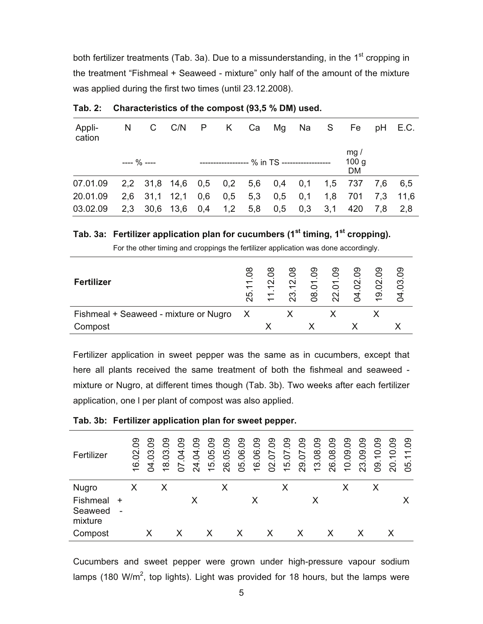both fertilizer treatments (Tab. 3a). Due to a missunderstanding, in the  $1<sup>st</sup>$  cropping in the treatment "Fishmeal + Seaweed - mixture" only half of the amount of the mixture was applied during the first two times (until 23.12.2008).

| Appli-<br>cation |               | N C C/N P K Ca Mg Na S                    |  |                                              |  |                                                   |     | Fe pH E.C. |
|------------------|---------------|-------------------------------------------|--|----------------------------------------------|--|---------------------------------------------------|-----|------------|
|                  | $--- 9/0 ---$ |                                           |  | ------------------ % in TS ----------------- |  | mq/<br>100 g<br>DM                                |     |            |
| 07.01.09         |               |                                           |  |                                              |  | 2,2 31,8 14,6 0,5 0,2 5,6 0,4 0,1 1,5 737 7,6 6,5 |     |            |
| 20.01.09         |               | 2,6 31,1 12,1 0,6 0,5 5,3 0,5 0,1 1,8 701 |  |                                              |  |                                                   |     | 7.3 11.6   |
| 03.02.09         |               | 2,3 30,6 13,6 0,4 1,2 5,8                 |  | $0.5$ 0.3 3.1                                |  | 420                                               | 7.8 | 2.8        |

**Tab. 2: Characteristics of the compost (93,5 % DM) used.** 

#### **Tab. 3a: Fertilizer application plan for cucumbers (1st timing, 1st cropping).**

For the other timing and croppings the fertilizer application was done accordingly.

| <b>Fertilizer</b>                     | 80<br>$\overline{\phantom{0}}$<br>25 | ∞<br>$\sim$ | $\infty$<br>$\mathbf{\sim}$<br>ო | ဥ<br>ஜ | ဥ<br>0 | တ<br>$\sim$ | တ<br>$\circ$<br>$\mathbf{\sim}$<br>တ | တ<br>က |
|---------------------------------------|--------------------------------------|-------------|----------------------------------|--------|--------|-------------|--------------------------------------|--------|
| Fishmeal + Seaweed - mixture or Nugro | X                                    |             |                                  |        |        |             |                                      |        |
| Compost                               |                                      |             |                                  |        |        |             |                                      |        |

Fertilizer application in sweet pepper was the same as in cucumbers, except that here all plants received the same treatment of both the fishmeal and seaweed mixture or Nugro, at different times though (Tab. 3b). Two weeks after each fertilizer application, one l per plant of compost was also applied.

| Fertilizer                     |             | ဥ<br>16.02 | တ<br>0<br>က<br>0<br>4<br>◯ | တ<br>0<br>က<br>0<br>$\infty$ | တ<br>0<br>4<br>Ò<br>$\overline{\phantom{0}}$<br>◯ | တ<br>0<br>4<br>0<br>4<br>$\sim$ | တ<br>0<br>5<br>0<br>5<br>$\overline{\phantom{0}}$ | တ<br>$\circ$<br>5<br>$\circ$<br>ဖ<br>$\sim$ | တ<br>$\circ$<br>ဖ<br>0<br>5<br>⌒ | တ<br>$\circ$<br>٠.<br>G<br>$\circ$<br>$\circ$<br>$\overline{\phantom{0}}$ | တ<br>Õ.<br>$\overline{\phantom{0}}$<br>$\circ$<br>$\mathbf{\Omega}$<br>◯ | တ<br>Õ.<br>$\overline{\phantom{0}}$<br>0<br>5 | တ<br>$\circ$<br>$\overline{\phantom{0}}$<br>0<br>တ<br>$\sim$ | တ<br>0<br>$\infty$<br>0<br>S<br>$\overline{\phantom{0}}$ | တ<br>0<br>$\infty$<br>$\circ$<br>ဖ<br>$\sim$ | တ<br>0<br>တ<br>0<br>0<br>$\overline{\phantom{0}}$ | တ<br>0<br>တ<br>0<br>က<br>$\mathbf{\Omega}$ | တ<br>$\circ$<br>0<br>$\overline{\phantom{0}}$<br>တ<br>⌒ | တ<br>Õ<br>0<br>$\overline{\phantom{0}}$<br>$\circ$<br>$\sim$ | တ<br>Õ<br>ᅮ<br>$\overline{\phantom{0}}$<br>ပ<br>$\circ$ |
|--------------------------------|-------------|------------|----------------------------|------------------------------|---------------------------------------------------|---------------------------------|---------------------------------------------------|---------------------------------------------|----------------------------------|---------------------------------------------------------------------------|--------------------------------------------------------------------------|-----------------------------------------------|--------------------------------------------------------------|----------------------------------------------------------|----------------------------------------------|---------------------------------------------------|--------------------------------------------|---------------------------------------------------------|--------------------------------------------------------------|---------------------------------------------------------|
| <b>Nugro</b>                   |             |            |                            | Χ                            |                                                   |                                 |                                                   |                                             |                                  |                                                                           |                                                                          |                                               |                                                              |                                                          |                                              | х                                                 |                                            | Х                                                       |                                                              |                                                         |
| Fishmeal<br>Seaweed<br>mixture | $\div$<br>- |            |                            |                              |                                                   | х                               |                                                   |                                             |                                  | Х                                                                         |                                                                          |                                               |                                                              | Χ                                                        |                                              |                                                   |                                            |                                                         |                                                              |                                                         |
| Compost                        |             |            |                            |                              |                                                   |                                 | х                                                 |                                             |                                  |                                                                           | X                                                                        |                                               | X                                                            |                                                          | х                                            |                                                   |                                            |                                                         |                                                              |                                                         |

**Tab. 3b: Fertilizer application plan for sweet pepper.** 

Cucumbers and sweet pepper were grown under high-pressure vapour sodium lamps (180 W/m<sup>2</sup>, top lights). Light was provided for 18 hours, but the lamps were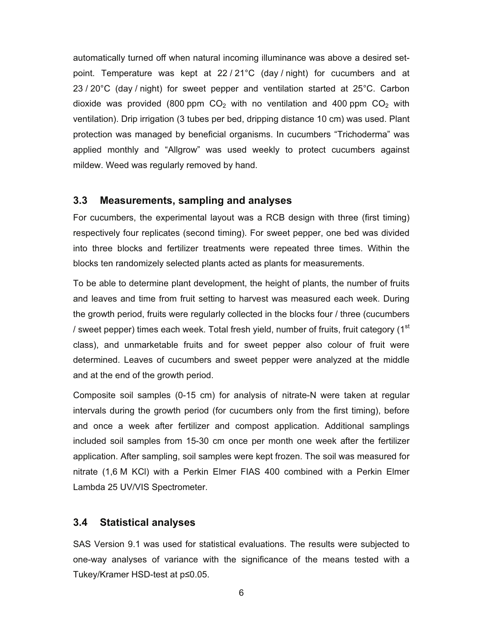automatically turned off when natural incoming illuminance was above a desired setpoint. Temperature was kept at 22 / 21°C (day / night) for cucumbers and at 23 / 20°C (day / night) for sweet pepper and ventilation started at 25°C. Carbon dioxide was provided (800 ppm  $CO<sub>2</sub>$  with no ventilation and 400 ppm  $CO<sub>2</sub>$  with ventilation). Drip irrigation (3 tubes per bed, dripping distance 10 cm) was used. Plant protection was managed by beneficial organisms. In cucumbers "Trichoderma" was applied monthly and "Allgrow" was used weekly to protect cucumbers against mildew. Weed was regularly removed by hand.

#### **3.3 Measurements, sampling and analyses**

For cucumbers, the experimental layout was a RCB design with three (first timing) respectively four replicates (second timing). For sweet pepper, one bed was divided into three blocks and fertilizer treatments were repeated three times. Within the blocks ten randomizely selected plants acted as plants for measurements.

To be able to determine plant development, the height of plants, the number of fruits and leaves and time from fruit setting to harvest was measured each week. During the growth period, fruits were regularly collected in the blocks four / three (cucumbers / sweet pepper) times each week. Total fresh yield, number of fruits, fruit category  $(1<sup>st</sup>$ class), and unmarketable fruits and for sweet pepper also colour of fruit were determined. Leaves of cucumbers and sweet pepper were analyzed at the middle and at the end of the growth period.

Composite soil samples (0-15 cm) for analysis of nitrate-N were taken at regular intervals during the growth period (for cucumbers only from the first timing), before and once a week after fertilizer and compost application. Additional samplings included soil samples from 15-30 cm once per month one week after the fertilizer application. After sampling, soil samples were kept frozen. The soil was measured for nitrate (1,6 M KCl) with a Perkin Elmer FIAS 400 combined with a Perkin Elmer Lambda 25 UV/VIS Spectrometer.

#### **3.4 Statistical analyses**

SAS Version 9.1 was used for statistical evaluations. The results were subjected to one-way analyses of variance with the significance of the means tested with a Tukey/Kramer HSD-test at  $p \leq 0.05$ .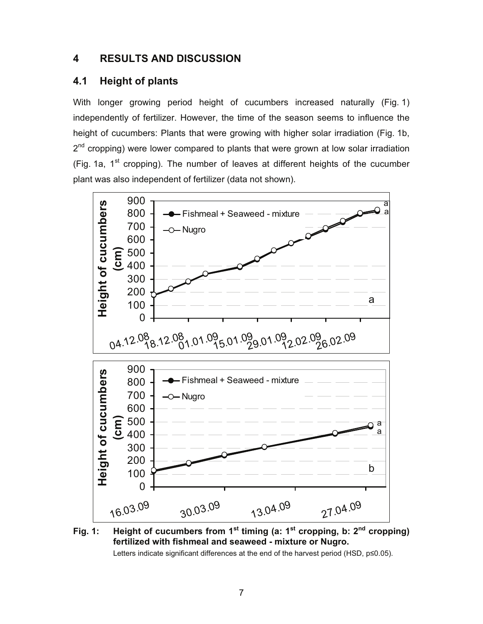### **4 RESULTS AND DISCUSSION**

#### **4.1 Height of plants**

With longer growing period height of cucumbers increased naturally (Fig. 1) independently of fertilizer. However, the time of the season seems to influence the height of cucumbers: Plants that were growing with higher solar irradiation (Fig. 1b, 2<sup>nd</sup> cropping) were lower compared to plants that were grown at low solar irradiation (Fig. 1a,  $1<sup>st</sup>$  cropping). The number of leaves at different heights of the cucumber plant was also independent of fertilizer (data not shown).





Letters indicate significant differences at the end of the harvest period (HSD,  $p \le 0.05$ ).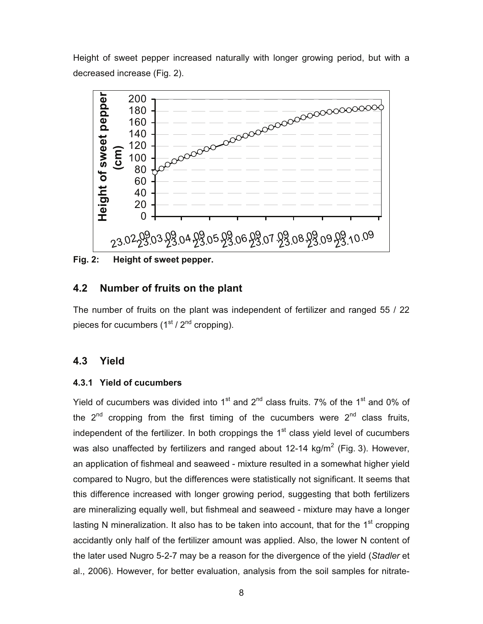Height of sweet pepper increased naturally with longer growing period, but with a decreased increase (Fig. 2).



**Fig. 2: Height of sweet pepper.** 

#### **4.2 Number of fruits on the plant**

The number of fruits on the plant was independent of fertilizer and ranged 55 / 22 pieces for cucumbers  $(1<sup>st</sup> / 2<sup>nd</sup>$  cropping).

#### **4.3 Yield**

#### **4.3.1 Yield of cucumbers**

Yield of cucumbers was divided into  $1<sup>st</sup>$  and  $2<sup>nd</sup>$  class fruits. 7% of the  $1<sup>st</sup>$  and 0% of the  $2^{nd}$  cropping from the first timing of the cucumbers were  $2^{nd}$  class fruits, independent of the fertilizer. In both croppings the  $1<sup>st</sup>$  class yield level of cucumbers was also unaffected by fertilizers and ranged about 12-14 kg/m<sup>2</sup> (Fig. 3). However, an application of fishmeal and seaweed - mixture resulted in a somewhat higher yield compared to Nugro, but the differences were statistically not significant. It seems that this difference increased with longer growing period, suggesting that both fertilizers are mineralizing equally well, but fishmeal and seaweed - mixture may have a longer lasting N mineralization. It also has to be taken into account, that for the  $1<sup>st</sup>$  cropping accidantly only half of the fertilizer amount was applied. Also, the lower N content of the later used Nugro 5-2-7 may be a reason for the divergence of the yield (*Stadler* et al., 2006). However, for better evaluation, analysis from the soil samples for nitrate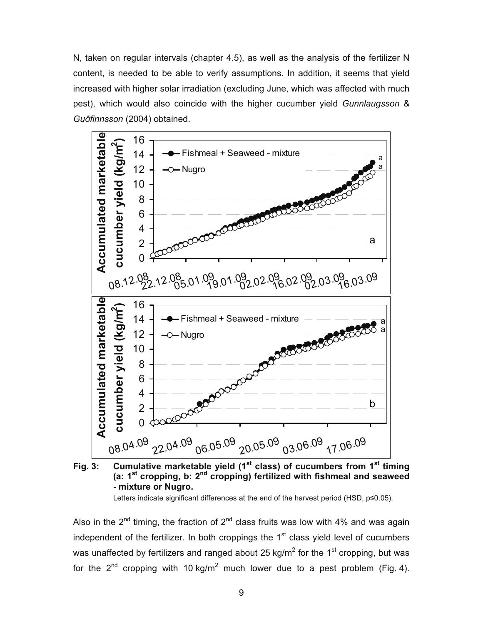N, taken on regular intervals (chapter 4.5), as well as the analysis of the fertilizer N content, is needed to be able to verify assumptions. In addition, it seems that yield increased with higher solar irradiation (excluding June, which was affected with much pest), which would also coincide with the higher cucumber yield *Gunnlaugsson* & *Guðfinnsson* (2004) obtained.



**Fig. 3: Cumulative marketable yield (1st class) of cucumbers from 1st timing (a: 1st cropping, b: 2nd cropping) fertilized with fishmeal and seaweed - mixture or Nugro.** 

Letters indicate significant differences at the end of the harvest period (HSD,  $p \le 0.05$ ).

Also in the  $2^{nd}$  timing, the fraction of  $2^{nd}$  class fruits was low with 4% and was again independent of the fertilizer. In both croppings the  $1<sup>st</sup>$  class yield level of cucumbers was unaffected by fertilizers and ranged about 25 kg/m<sup>2</sup> for the 1<sup>st</sup> cropping, but was for the 2<sup>nd</sup> cropping with 10 kg/m<sup>2</sup> much lower due to a pest problem (Fig. 4).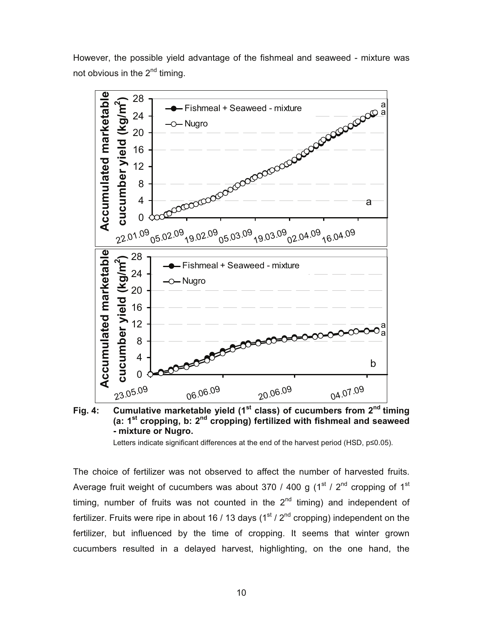However, the possible yield advantage of the fishmeal and seaweed - mixture was not obvious in the  $2^{nd}$  timing.



**Fig. 4: Cumulative marketable yield (1st class) of cucumbers from 2nd timing (a: 1st cropping, b: 2nd cropping) fertilized with fishmeal and seaweed - mixture or Nugro.** 

Letters indicate significant differences at the end of the harvest period (HSD,  $p \le 0.05$ ).

The choice of fertilizer was not observed to affect the number of harvested fruits. Average fruit weight of cucumbers was about 370 / 400 g ( $1<sup>st</sup>$  /  $2<sup>nd</sup>$  cropping of  $1<sup>st</sup>$ timing, number of fruits was not counted in the  $2<sup>nd</sup>$  timing) and independent of fertilizer. Fruits were ripe in about 16 / 13 days  $(1<sup>st</sup> / 2<sup>nd</sup>$  cropping) independent on the fertilizer, but influenced by the time of cropping. It seems that winter grown cucumbers resulted in a delayed harvest, highlighting, on the one hand, the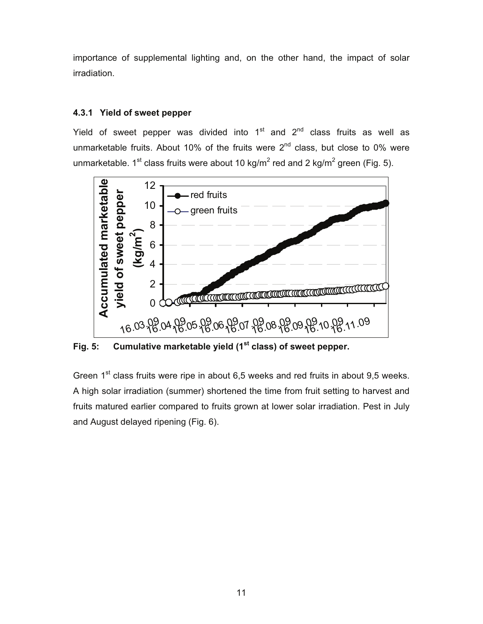importance of supplemental lighting and, on the other hand, the impact of solar irradiation.

#### **4.3.1 Yield of sweet pepper**

Yield of sweet pepper was divided into  $1<sup>st</sup>$  and  $2<sup>nd</sup>$  class fruits as well as unmarketable fruits. About 10% of the fruits were  $2<sup>nd</sup>$  class, but close to 0% were unmarketable. 1<sup>st</sup> class fruits were about 10 kg/m<sup>2</sup> red and 2 kg/m<sup>2</sup> green (Fig. 5).



**Fig. 5: Cumulative marketable yield (1st class) of sweet pepper.** 

Green  $1<sup>st</sup>$  class fruits were ripe in about 6,5 weeks and red fruits in about 9,5 weeks. A high solar irradiation (summer) shortened the time from fruit setting to harvest and fruits matured earlier compared to fruits grown at lower solar irradiation. Pest in July and August delayed ripening (Fig. 6).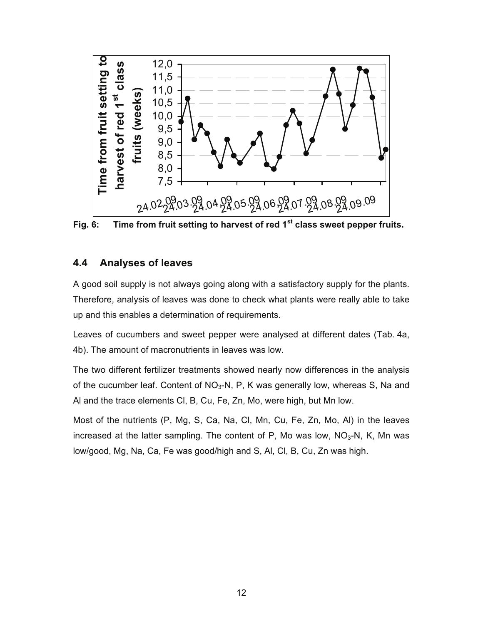

**Fig. 6: Time from fruit setting to harvest of red 1st class sweet pepper fruits.** 

#### **4.4 Analyses of leaves**

A good soil supply is not always going along with a satisfactory supply for the plants. Therefore, analysis of leaves was done to check what plants were really able to take up and this enables a determination of requirements.

Leaves of cucumbers and sweet pepper were analysed at different dates (Tab. 4a, 4b). The amount of macronutrients in leaves was low.

The two different fertilizer treatments showed nearly now differences in the analysis of the cucumber leaf. Content of  $NO<sub>3</sub>-N$ , P, K was generally low, whereas S, Na and Al and the trace elements Cl, B, Cu, Fe, Zn, Mo, were high, but Mn low.

Most of the nutrients (P, Mg, S, Ca, Na, Cl, Mn, Cu, Fe, Zn, Mo, Al) in the leaves increased at the latter sampling. The content of P, Mo was low,  $NO<sub>3</sub>$ -N, K, Mn was low/good, Mg, Na, Ca, Fe was good/high and S, Al, Cl, B, Cu, Zn was high.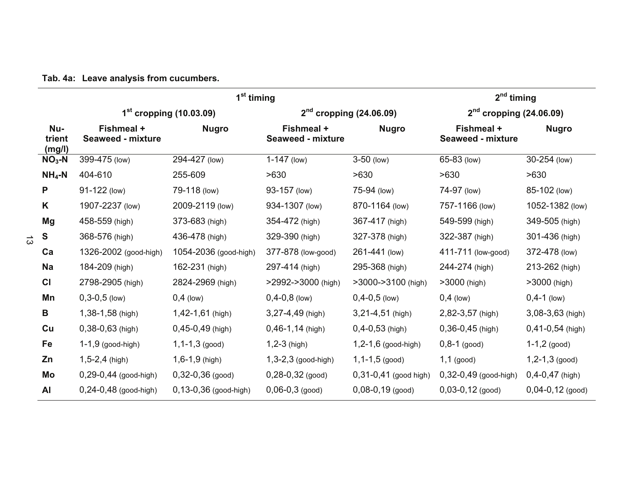|  |  |  |  |  |  |  | Tab. 4a: Leave analysis from cucumbers. |  |
|--|--|--|--|--|--|--|-----------------------------------------|--|
|--|--|--|--|--|--|--|-----------------------------------------|--|

|                         |                                        | 1 <sup>st</sup> timing      |                                        | $2nd$ timing              |                                        |                      |  |
|-------------------------|----------------------------------------|-----------------------------|----------------------------------------|---------------------------|----------------------------------------|----------------------|--|
|                         |                                        | $1st$ cropping (10.03.09)   |                                        | $2nd$ cropping (24.06.09) | $2nd$ cropping (24.06.09)              |                      |  |
| Nu-<br>trient<br>(mg/l) | Fishmeal +<br><b>Seaweed - mixture</b> | <b>Nugro</b>                | Fishmeal +<br><b>Seaweed - mixture</b> | <b>Nugro</b>              | Fishmeal +<br><b>Seaweed - mixture</b> | <b>Nugro</b>         |  |
| $NO3$ -N                | 399-475 (low)                          | 294-427 (low)               | $1-147$ (low)                          | $3-50$ (low)              | 65-83 (low)                            | 30-254 (low)         |  |
| $NH_4-N$                | 404-610                                | 255-609                     | >630                                   | >630                      | >630                                   | >630                 |  |
| P                       | 91-122 (low)                           | 79-118 (low)                | 93-157 (low)                           | 75-94 (low)               | 74-97 (low)                            | 85-102 (low)         |  |
| K                       | 1907-2237 (low)                        | 2009-2119 (low)             | 934-1307 (low)                         | 870-1164 (low)            | 757-1166 (low)                         | 1052-1382 (low)      |  |
| Mg                      | 458-559 (high)                         | 373-683 (high)              | 354-472 (high)                         | 367-417 (high)            | 549-599 (high)                         | 349-505 (high)       |  |
| S                       | 368-576 (high)                         | 436-478 (high)              | 329-390 (high)                         | 327-378 (high)            | 322-387 (high)                         | 301-436 (high)       |  |
| Ca                      | 1326-2002 (good-high)                  | 1054-2036 (good-high)       | 377-878 (low-good)                     | 261-441 (low)             | 411-711 (low-good)                     | 372-478 (low)        |  |
| <b>Na</b>               | 184-209 (high)                         | 162-231 (high)              | 297-414 (high)                         | 295-368 (high)            | 244-274 (high)                         | 213-262 (high)       |  |
| CI                      | 2798-2905 (high)                       | 2824-2969 (high)            | $>$ 2992- $>$ 3000 (high)              | $>3000->3100$ (high)      | $>3000$ (high)                         | >3000 (high)         |  |
| Mn                      | $0, 3 - 0, 5$ (low)                    | $0,4$ (low)                 | $0,4-0,8$ (low)                        | $0,4-0,5$ (low)           | $0,4$ (low)                            | $0,4-1$ (low)        |  |
| B                       | 1,38-1,58 (high)                       | 1,42-1,61 (high)            | 3,27-4,49 (high)                       | $3,21-4,51$ (high)        | 2,82-3,57 (high)                       | $3,08-3,63$ (high)   |  |
| Cu                      | $0,38-0,63$ (high)                     | $0,45-0,49$ (high)          | $0,46-1,14$ (high)                     | $0,4-0,53$ (high)         | $0,36-0,45$ (high)                     | $0,41-0,54$ (high)   |  |
| Fe                      | $1-1,9$ (good-high)                    | $1, 1 - 1, 3$ (good)        | $1,2-3$ (high)                         | 1,2-1,6 (good-high)       | $0,8-1$ (good)                         | $1-1,2$ (good)       |  |
| Zn                      | $1,5-2,4$ (high)                       | $1,6-1,9$ (high)            | $1,3-2,3$ (good-high)                  | $1, 1 - 1, 5$ (good)      | $1,1$ (good)                           | $1, 2 - 1, 3$ (good) |  |
| Mo                      | $0,29-0,44$ (good-high)                | $0,32-0,36$ (good)          | $0,28-0,32$ (good)                     | $0,31-0,41$ (good high)   | 0,32-0,49 (good-high)                  | $0,4-0,47$ (high)    |  |
| AI                      | $0,24 - 0,48$ (good-high)              | $0, 13 - 0, 36$ (good-high) | $0,06-0,3$ (good)                      | $0,08-0,19$ (good)        | $0,03-0,12$ (good)                     | $0,04-0,12$ (good)   |  |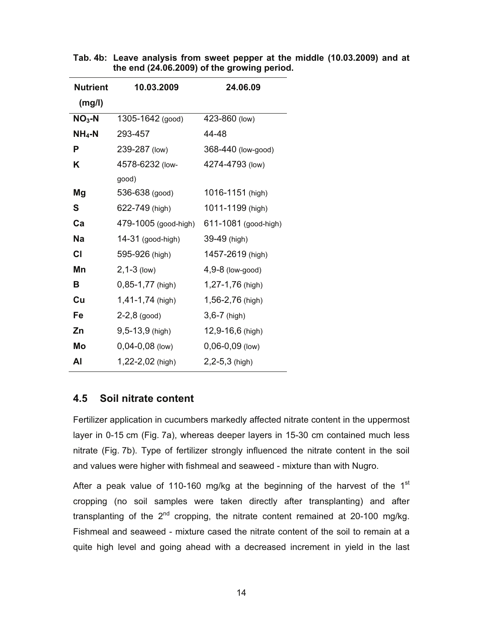| <b>Nutrient</b> | 10.03.2009           | 24.06.09             |  |  |  |  |
|-----------------|----------------------|----------------------|--|--|--|--|
| (mg/l)          |                      |                      |  |  |  |  |
| $NO3-N$         | 1305-1642 (good)     | 423-860 (low)        |  |  |  |  |
| $NH_4-N$        | 293-457              | 44-48                |  |  |  |  |
| P               | 239-287 (low)        | 368-440 (low-good)   |  |  |  |  |
| Κ               | 4578-6232 (low-      | 4274-4793 (low)      |  |  |  |  |
|                 | good)                |                      |  |  |  |  |
| Mg              | 536-638 (good)       | 1016-1151 (high)     |  |  |  |  |
| S               | 622-749 (high)       | 1011-1199 (high)     |  |  |  |  |
| Ca              | 479-1005 (good-high) | 611-1081 (good-high) |  |  |  |  |
| <b>Na</b>       | 14-31 (good-high)    | 39-49 (high)         |  |  |  |  |
| CI              | 595-926 (high)       | 1457-2619 (high)     |  |  |  |  |
| Mn              | $2, 1 - 3$ (low)     | $4,9-8$ (low-good)   |  |  |  |  |
| В               | $0,85-1,77$ (high)   | 1,27-1,76 (high)     |  |  |  |  |
| Cu              | 1,41-1,74 (high)     | 1,56-2,76 (high)     |  |  |  |  |
| Fe              | $2-2,8$ (good)       | $3,6 - 7$ (high)     |  |  |  |  |
| Zn              | 9,5-13,9 (high)      | 12,9-16,6 (high)     |  |  |  |  |
| Mo              | $0,04-0,08$ (low)    | $0,06-0,09$ (low)    |  |  |  |  |
| Al              | 1,22-2,02 (high)     | 2,2-5,3 (high)       |  |  |  |  |

**Tab. 4b: Leave analysis from sweet pepper at the middle (10.03.2009) and at the end (24.06.2009) of the growing period.** 

#### **4.5 Soil nitrate content**

Fertilizer application in cucumbers markedly affected nitrate content in the uppermost layer in 0-15 cm (Fig. 7a), whereas deeper layers in 15-30 cm contained much less nitrate (Fig. 7b). Type of fertilizer strongly influenced the nitrate content in the soil and values were higher with fishmeal and seaweed - mixture than with Nugro.

After a peak value of 110-160 mg/kg at the beginning of the harvest of the 1<sup>st</sup> cropping (no soil samples were taken directly after transplanting) and after transplanting of the  $2^{nd}$  cropping, the nitrate content remained at 20-100 mg/kg. Fishmeal and seaweed - mixture cased the nitrate content of the soil to remain at a quite high level and going ahead with a decreased increment in yield in the last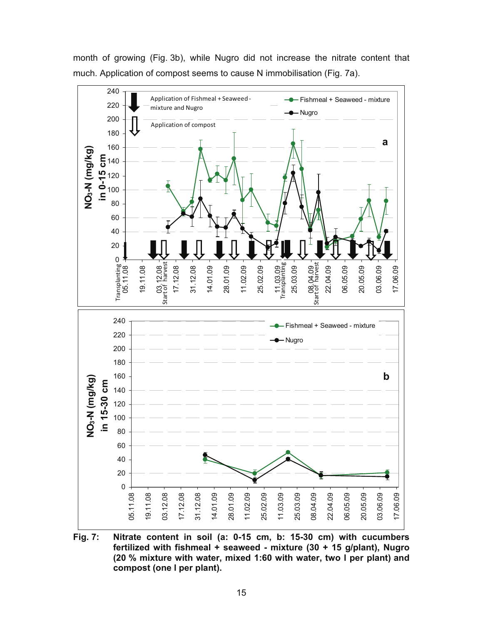month of growing (Fig. 3b), while Nugro did not increase the nitrate content that much. Application of compost seems to cause N immobilisation (Fig. 7a).



**Fig. 7: Nitrate content in soil (a: 0-15 cm, b: 15-30 cm) with cucumbers fertilized with fishmeal + seaweed - mixture (30 + 15 g/plant), Nugro (20 % mixture with water, mixed 1:60 with water, two l per plant) and compost (one l per plant).**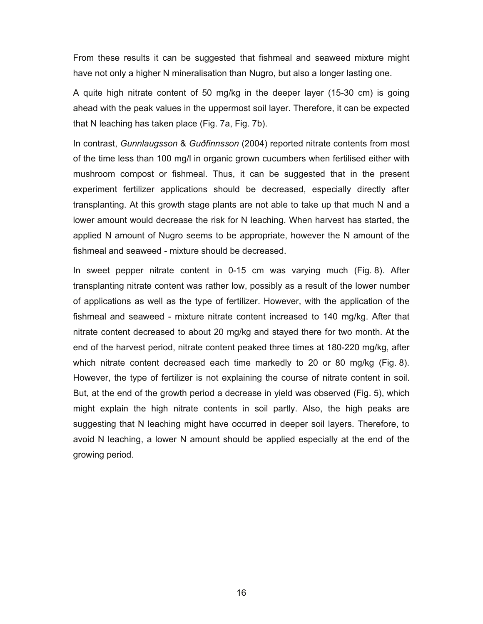From these results it can be suggested that fishmeal and seaweed mixture might have not only a higher N mineralisation than Nugro, but also a longer lasting one.

A quite high nitrate content of 50 mg/kg in the deeper layer (15-30 cm) is going ahead with the peak values in the uppermost soil layer. Therefore, it can be expected that N leaching has taken place (Fig. 7a, Fig. 7b).

In contrast, *Gunnlaugsson* & *Guðfinnsson* (2004) reported nitrate contents from most of the time less than 100 mg/l in organic grown cucumbers when fertilised either with mushroom compost or fishmeal. Thus, it can be suggested that in the present experiment fertilizer applications should be decreased, especially directly after transplanting. At this growth stage plants are not able to take up that much N and a lower amount would decrease the risk for N leaching. When harvest has started, the applied N amount of Nugro seems to be appropriate, however the N amount of the fishmeal and seaweed - mixture should be decreased.

In sweet pepper nitrate content in 0-15 cm was varying much (Fig. 8). After transplanting nitrate content was rather low, possibly as a result of the lower number of applications as well as the type of fertilizer. However, with the application of the fishmeal and seaweed - mixture nitrate content increased to 140 mg/kg. After that nitrate content decreased to about 20 mg/kg and stayed there for two month. At the end of the harvest period, nitrate content peaked three times at 180-220 mg/kg, after which nitrate content decreased each time markedly to 20 or 80 mg/kg (Fig. 8). However, the type of fertilizer is not explaining the course of nitrate content in soil. But, at the end of the growth period a decrease in yield was observed (Fig. 5), which might explain the high nitrate contents in soil partly. Also, the high peaks are suggesting that N leaching might have occurred in deeper soil layers. Therefore, to avoid N leaching, a lower N amount should be applied especially at the end of the growing period.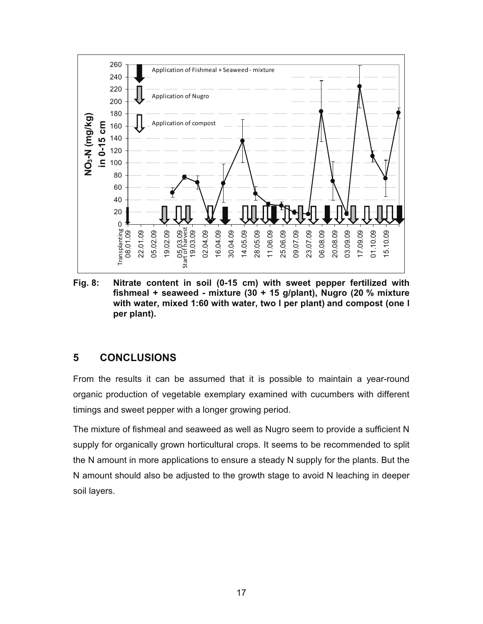

**Fig. 8: Nitrate content in soil (0-15 cm) with sweet pepper fertilized with fishmeal + seaweed - mixture (30 + 15 g/plant), Nugro (20 % mixture with water, mixed 1:60 with water, two l per plant) and compost (one l per plant).** 

#### **5 CONCLUSIONS**

From the results it can be assumed that it is possible to maintain a year-round organic production of vegetable exemplary examined with cucumbers with different timings and sweet pepper with a longer growing period.

The mixture of fishmeal and seaweed as well as Nugro seem to provide a sufficient N supply for organically grown horticultural crops. It seems to be recommended to split the N amount in more applications to ensure a steady N supply for the plants. But the N amount should also be adjusted to the growth stage to avoid N leaching in deeper soil layers.